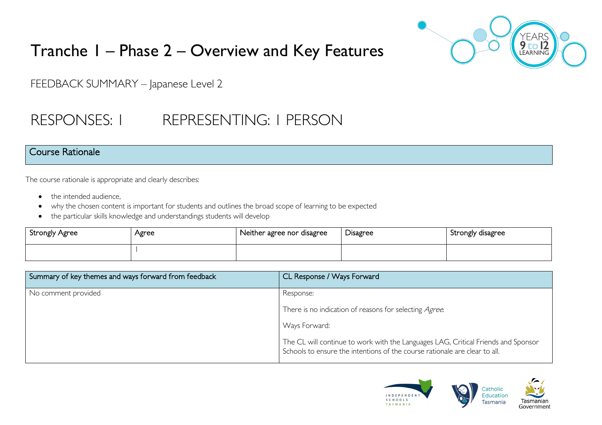# Tranche 1 – Phase 2 – Overview and Key Features



FEEDBACK SUMMARY – Japanese Level 2

## RESPONSES: 1 REPRESENTING: 1 PERSON

#### Course Rationale

The course rationale is appropriate and clearly describes:

- the intended audience.
- why the chosen content is important for students and outlines the broad scope of learning to be expected
- the particular skills knowledge and understandings students will develop

| Strongly Agree | Agree | Neither agree nor disagree | Disagree | Strongly disagree |
|----------------|-------|----------------------------|----------|-------------------|
|                |       |                            |          |                   |

| Summary of key themes and ways forward from feedback | CL Response / Ways Forward                                                                                                                                      |
|------------------------------------------------------|-----------------------------------------------------------------------------------------------------------------------------------------------------------------|
| No comment provided                                  | Response:                                                                                                                                                       |
|                                                      | There is no indication of reasons for selecting Agree.                                                                                                          |
|                                                      | Ways Forward:                                                                                                                                                   |
|                                                      | The CL will continue to work with the Languages LAG, Critical Friends and Sponsor<br>Schools to ensure the intentions of the course rationale are clear to all. |

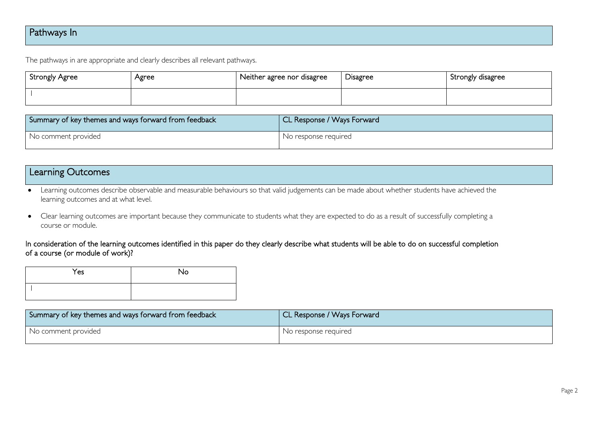## Pathways In

The pathways in are appropriate and clearly describes all relevant pathways.

| Strongly Agree | Agree | Neither agree nor disagree | Disagree | Strongly disagree |
|----------------|-------|----------------------------|----------|-------------------|
|                |       |                            |          |                   |

| Summary of key themes and ways forward from feedback | CL Response / Ways Forward |
|------------------------------------------------------|----------------------------|
| No comment provided                                  | No response required       |

## Learning Outcomes

• Learning outcomes describe observable and measurable behaviours so that valid judgements can be made about whether students have achieved the learning outcomes and at what level.

• Clear learning outcomes are important because they communicate to students what they are expected to do as a result of successfully completing a course or module.

#### In consideration of the learning outcomes identified in this paper do they clearly describe what students will be able to do on successful completion of a course (or module of work)?

| Yes | No |
|-----|----|
|     |    |

| Summary of key themes and ways forward from feedback | CL Response / Ways Forward |
|------------------------------------------------------|----------------------------|
| No comment provided                                  | No response required       |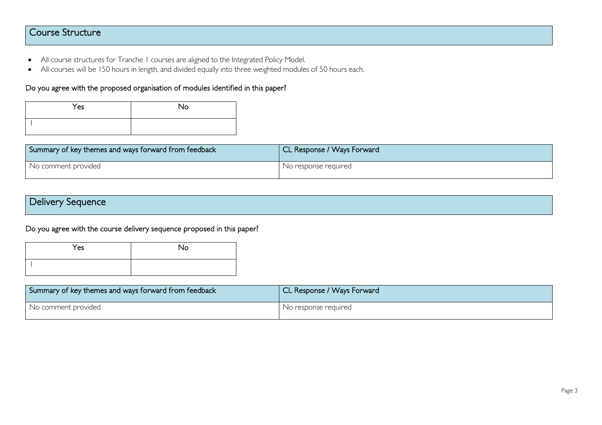## Course Structure

- All course structures for Tranche 1 courses are aligned to the Integrated Policy Model.
- All courses will be 150 hours in length, and divided equally into three weighted modules of 50 hours each.

#### Do you agree with the proposed organisation of modules identified in this paper?

| Yes | No |
|-----|----|
|     |    |

| Summary of key themes and ways forward from feedback | CL Response / Ways Forward |
|------------------------------------------------------|----------------------------|
| No comment provided                                  | No response required       |

| Delivery Sequence |  |  |
|-------------------|--|--|
|                   |  |  |

Do you agree with the course delivery sequence proposed in this paper?

| Yes | No |
|-----|----|
|     |    |

| Summary of key themes and ways forward from feedback | CL Response / Ways Forward |
|------------------------------------------------------|----------------------------|
| No comment provided                                  | No response required       |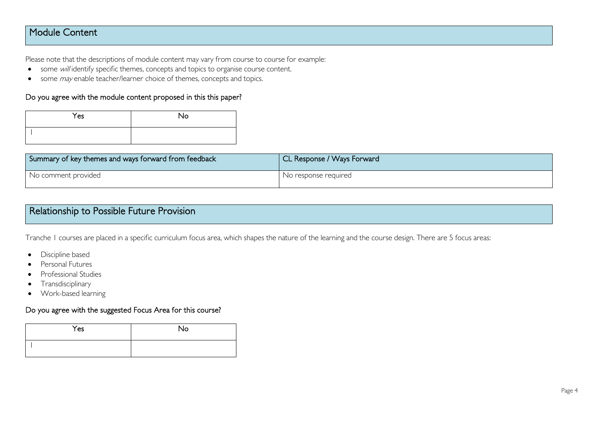## Module Content

Please note that the descriptions of module content may vary from course to course for example:

- some will identify specific themes, concepts and topics to organise course content.
- some *may* enable teacher/learner choice of themes, concepts and topics.

#### Do you agree with the module content proposed in this this paper?

| Yes | <b>No</b> |
|-----|-----------|
|     |           |

| Summary of key themes and ways forward from feedback | CL Response / Ways Forward |
|------------------------------------------------------|----------------------------|
| No comment provided                                  | No response required       |

| Relationship to Possible Future Provision |  |
|-------------------------------------------|--|
|                                           |  |

Tranche 1 courses are placed in a specific curriculum focus area, which shapes the nature of the learning and the course design. There are 5 focus areas:

- Discipline based
- Personal Futures
- Professional Studies
- Transdisciplinary
- Work-based learning

#### Do you agree with the suggested Focus Area for this course?

| Yes | No |
|-----|----|
|     |    |